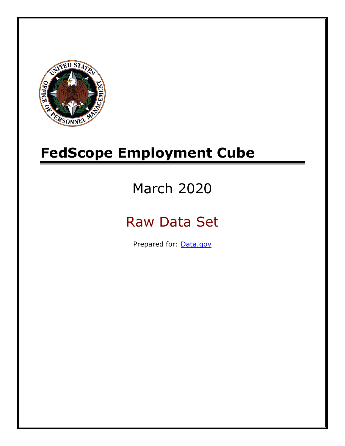

# **FedScope Employment Cube**

# March 2020

# Raw Data Set

Prepared for: [Data.gov](http://www.data.gov/)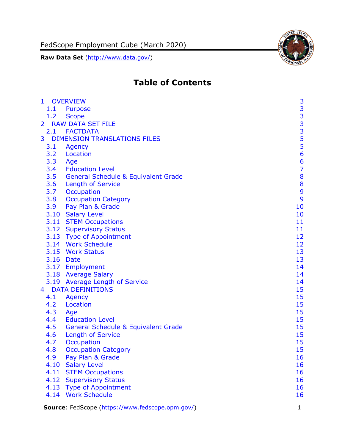

# **Table of Contents**

| $\mathbf{1}$   |           | <b>OVERVIEW</b>                                | 3                                          |
|----------------|-----------|------------------------------------------------|--------------------------------------------|
|                | 1.1       | Purpose                                        |                                            |
|                | 1.2       | <b>Scope</b>                                   |                                            |
| $\overline{2}$ |           | <b>RAW DATA SET FILE</b>                       | $\begin{array}{c} 3 \\ 3 \\ 3 \end{array}$ |
|                |           | 2.1 FACTDATA                                   |                                            |
| 3              |           | <b>DIMENSION TRANSLATIONS FILES</b>            |                                            |
|                | 3.1       | Agency                                         | $\frac{5}{5}$                              |
|                | 3.2       | Location                                       | 6                                          |
|                | 3.3       | Age                                            | 6                                          |
|                | 3.4       | <b>Education Level</b>                         | $\overline{7}$                             |
|                | 3.5       | <b>General Schedule &amp; Equivalent Grade</b> | 8                                          |
|                | 3.6       | <b>Length of Service</b>                       | 8                                          |
|                | 3.7       | Occupation                                     | 9                                          |
|                | 3.8       | <b>Occupation Category</b>                     | 9                                          |
|                | 3.9       | Pay Plan & Grade                               | 10                                         |
|                |           | 3.10 Salary Level                              | 10                                         |
|                |           | 3.11 STEM Occupations                          | 11                                         |
|                |           | 3.12 Supervisory Status                        | 11                                         |
|                |           | 3.13 Type of Appointment                       | 12                                         |
|                |           | 3.14 Work Schedule                             | 12                                         |
|                |           | 3.15 Work Status                               | 13                                         |
|                | 3.16 Date |                                                | 13                                         |
|                |           | 3.17 Employment                                | 14                                         |
|                |           | 3.18 Average Salary                            | 14                                         |
|                |           | 3.19 Average Length of Service                 | 14                                         |
| $4 \square$    |           | <b>DATA DEFINITIONS</b>                        | 15                                         |
|                | 4.1       | Agency                                         | 15                                         |
|                | 4.2       | Location                                       | 15                                         |
|                | 4.3       | Age                                            | 15                                         |
|                | 4.4       | <b>Education Level</b>                         | 15                                         |
|                | 4.5       | <b>General Schedule &amp; Equivalent Grade</b> | 15                                         |
|                | 4.6       | <b>Length of Service</b>                       | 15                                         |
|                | 4.7       | Occupation                                     | 15                                         |
|                | 4.8       | <b>Occupation Category</b>                     | 15                                         |
|                | 4.9       | Pay Plan & Grade                               | 16                                         |
|                | 4.10      | <b>Salary Level</b>                            | 16                                         |
|                | 4.11      | <b>STEM Occupations</b>                        | 16                                         |
|                | 4.12      | <b>Supervisory Status</b>                      | 16                                         |
|                | 4.13      | <b>Type of Appointment</b>                     | 16                                         |
|                | 4.14      | <b>Work Schedule</b>                           | 16                                         |

**Source**: FedScope [\(https://www.fedscope.opm.gov/\)](https://www.fedscope.opm.gov/) 1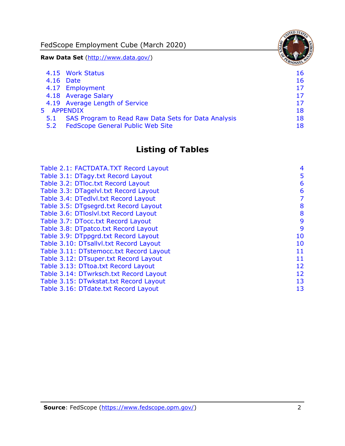FedScope Employment Cube (March 2020)

**Raw Data Set** (http://www.data.gov/)

|     | 4.15 Work Status                                    | 16 |
|-----|-----------------------------------------------------|----|
|     | 4.16 Date                                           | 16 |
|     | 4.17 Employment                                     | 17 |
|     | 4.18 Average Salary                                 | 17 |
|     | 4.19 Average Length of Service                      | 17 |
|     | 5 APPENDIX                                          | 18 |
| 5.1 | SAS Program to Read Raw Data Sets for Data Analysis | 18 |
| 5.2 | <b>FedScope General Public Web Site</b>             | 18 |

## **Listing of Tables**

| Table 2.1: FACTDATA.TXT Record Layout   | 4  |
|-----------------------------------------|----|
| Table 3.1: DTagy.txt Record Layout      | 5  |
| Table 3.2: DTloc.txt Record Layout      | 6  |
| Table 3.3: DTagelvl.txt Record Layout   | 6  |
| Table 3.4: DTedlvl.txt Record Layout    | 7  |
| Table 3.5: DTgsegrd.txt Record Layout   | 8  |
| Table 3.6: DTloslvl.txt Record Layout   | 8  |
| Table 3.7: DTocc.txt Record Layout      | 9  |
| Table 3.8: DTpatco.txt Record Layout    | 9  |
| Table 3.9: DTppgrd.txt Record Layout    | 10 |
| Table 3.10: DTsallvl.txt Record Layout  | 10 |
| Table 3.11: DTstemocc.txt Record Layout | 11 |
| Table 3.12: DTsuper.txt Record Layout   | 11 |
| Table 3.13: DTtoa.txt Record Layout     | 12 |
| Table 3.14: DTwrksch.txt Record Layout  | 12 |
| Table 3.15: DTwkstat.txt Record Layout  | 13 |
| Table 3.16: DTdate.txt Record Layout    | 13 |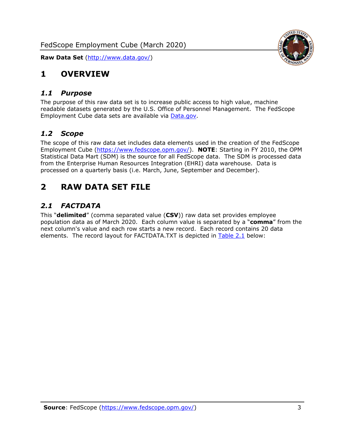

## <span id="page-3-0"></span>**1 OVERVIEW**

#### <span id="page-3-1"></span>*1.1 Purpose*

The purpose of this raw data set is to increase public access to high value, machine readable datasets generated by the U.S. Office of Personnel Management. The FedScope Employment Cube data sets are available via [Data.gov.](http://www.data.gov/)

## <span id="page-3-2"></span>*1.2 Scope*

The scope of this raw data set includes data elements used in the creation of the FedScope Employment Cube [\(https://www.fedscope.opm.gov/\)](https://www.fedscope.opm.gov/). **NOTE**: Starting in FY 2010, the OPM Statistical Data Mart (SDM) is the source for all FedScope data. The SDM is processed data from the Enterprise Human Resources Integration (EHRI) data warehouse. Data is processed on a quarterly basis (i.e. March, June, September and December).

## <span id="page-3-3"></span>**2 RAW DATA SET FILE**

## <span id="page-3-4"></span>*2.1 FACTDATA*

This "**delimited**" (comma separated value (**CSV**)) raw data set provides employee population data as of March 2020. Each column value is separated by a "**comma**" from the next column's value and each row starts a new record. Each record contains 20 data elements. The record layout for FACTDATA.TXT is depicted in [Table 2.1](#page-4-0) below: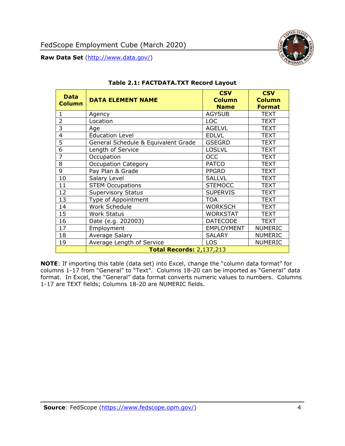<span id="page-4-0"></span>

**NOTE**: If importing this table (data set) into Excel, change the "column data format" for columns 1-17 from "General" to "Text". Columns 18-20 can be imported as "General" data format. In Excel, the "General" data format converts numeric values to numbers. Columns 1-17 are TEXT fields; Columns 18-20 are NUMERIC fields.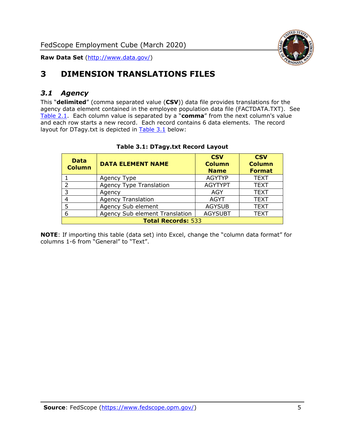

# <span id="page-5-0"></span>**3 DIMENSION TRANSLATIONS FILES**

## <span id="page-5-1"></span>*3.1 Agency*

This "**delimited**" (comma separated value (**CSV**)) data file provides translations for the agency data element contained in the employee population data file (FACTDATA.TXT). See [Table 2.1.](#page-4-0) Each column value is separated by a "**comma**" from the next column's value and each row starts a new record. Each record contains 6 data elements. The record layout for DTagy.txt is depicted in **[Table 3.1](#page-5-2)** below:

<span id="page-5-2"></span>

| <b>Data</b><br><b>Column</b> | <b>DATA ELEMENT NAME</b>       | <b>CSV</b><br><b>Column</b><br><b>Name</b> | <b>CSV</b><br><b>Column</b><br><b>Format</b> |  |
|------------------------------|--------------------------------|--------------------------------------------|----------------------------------------------|--|
|                              | Agency Type                    | <b>AGYTYP</b>                              | <b>TEXT</b>                                  |  |
| $\mathcal{P}$                | <b>Agency Type Translation</b> | <b>AGYTYPT</b>                             | <b>TEXT</b>                                  |  |
| 3                            | Agency                         | AGY                                        | <b>TEXT</b>                                  |  |
|                              | <b>Agency Translation</b>      | <b>AGYT</b>                                | <b>TEXT</b>                                  |  |
|                              | Agency Sub element             | <b>AGYSUB</b>                              | <b>TEXT</b>                                  |  |
| 6                            | Agency Sub element Translation | <b>AGYSUBT</b>                             | <b>TEXT</b>                                  |  |
|                              | <b>Total Records: 533</b>      |                                            |                                              |  |

#### **Table 3.1: DTagy.txt Record Layout**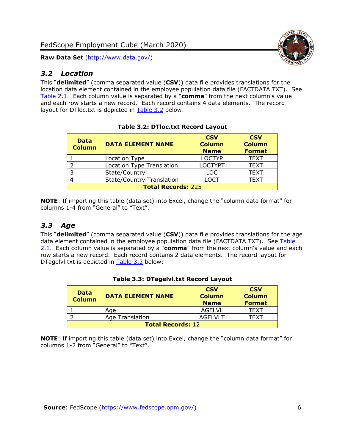## <span id="page-6-0"></span>*3.2 Location*

This "**delimited**" (comma separated value (**CSV**)) data file provides translations for the location data element contained in the employee population data file (FACTDATA.TXT). See [Table 2.1.](#page-4-0) Each column value is separated by a "**comma**" from the next column's value and each row starts a new record. Each record contains 4 data elements. The record layout for DTloc.txt is depicted in [Table 3.2](#page-6-2) below:

<span id="page-6-2"></span>

| <b>Data</b><br><b>Column</b> | <b>DATA ELEMENT NAME</b>         | <b>CSV</b><br><b>Column</b><br><b>Name</b> | <b>CSV</b><br><b>Column</b><br><b>Format</b> |  |
|------------------------------|----------------------------------|--------------------------------------------|----------------------------------------------|--|
|                              | Location Type                    | <b>LOCTYP</b>                              | <b>TEXT</b>                                  |  |
|                              | Location Type Translation        | <b>LOCTYPT</b>                             | <b>TEXT</b>                                  |  |
|                              | State/Country                    | <b>LOC</b>                                 | <b>TEXT</b>                                  |  |
|                              | <b>State/Country Translation</b> | LOCT                                       | <b>TEXT</b>                                  |  |
| <b>Total Records: 225</b>    |                                  |                                            |                                              |  |

**Table 3.2: DTloc.txt Record Layout**

**NOTE**: If importing this table (data set) into Excel, change the "column data format" for columns 1-4 from "General" to "Text".

## <span id="page-6-1"></span>*3.3 Age*

This "**delimited**" (comma separated value (**CSV**)) data file provides translations for the age data element contained in the employee population data file (FACTDATA.TXT). See Table [2.1.](#page-4-0) Each column value is separated by a "**comma**" from the next column's value and each row starts a new record. Each record contains 2 data elements. The record layout for DTagelvl.txt is depicted in [Table 3.3](#page-6-3) below:

<span id="page-6-3"></span>

| <b>Data</b><br><b>Column</b> | <b>DATA ELEMENT NAME</b> | <b>CSV</b><br><b>Column</b><br><b>Name</b> | <b>CSV</b><br><b>Column</b><br><b>Format</b> |  |
|------------------------------|--------------------------|--------------------------------------------|----------------------------------------------|--|
|                              | Age                      | AGELVL                                     | TFXT                                         |  |
|                              | Age Translation          | <b>AGELVLT</b>                             | TFXT                                         |  |
| <b>Total Records: 12</b>     |                          |                                            |                                              |  |

#### **Table 3.3: DTagelvl.txt Record Layout**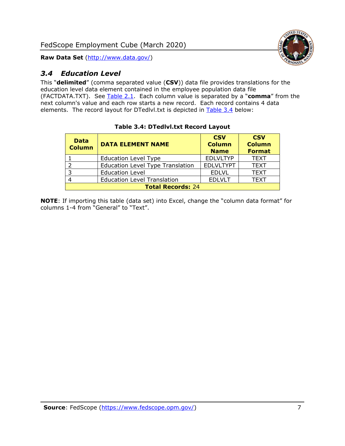

## <span id="page-7-0"></span>*3.4 Education Level*

This "**delimited**" (comma separated value (**CSV**)) data file provides translations for the education level data element contained in the employee population data file (FACTDATA.TXT). See [Table 2.1.](#page-4-0) Each column value is separated by a "**comma**" from the next column's value and each row starts a new record. Each record contains 4 data elements. The record layout for DTedlvl.txt is depicted in [Table 3.4](#page-7-1) below:

<span id="page-7-1"></span>

| <b>Data</b><br><b>Column</b> | <b>DATA ELEMENT NAME</b>                | <b>CSV</b><br><b>Column</b><br><b>Name</b> | <b>CSV</b><br><b>Column</b><br><b>Format</b> |  |
|------------------------------|-----------------------------------------|--------------------------------------------|----------------------------------------------|--|
|                              | <b>Education Level Type</b>             | <b>EDLVLTYP</b>                            | <b>TEXT</b>                                  |  |
| っ                            | <b>Education Level Type Translation</b> | <b>EDLVLTYPT</b>                           | <b>TEXT</b>                                  |  |
| 3                            | <b>Education Level</b>                  | <b>EDLVL</b>                               | <b>TEXT</b>                                  |  |
|                              | <b>Education Level Translation</b>      | <b>EDLVLT</b>                              | <b>TEXT</b>                                  |  |
| <b>Total Records: 24</b>     |                                         |                                            |                                              |  |

#### **Table 3.4: DTedlvl.txt Record Layout**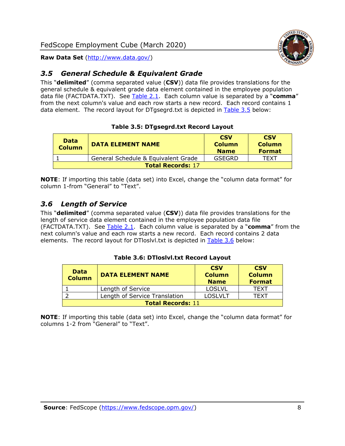

## <span id="page-8-0"></span>*3.5 General Schedule & Equivalent Grade*

This "**delimited**" (comma separated value (**CSV**)) data file provides translations for the general schedule & equivalent grade data element contained in the employee population data file (FACTDATA.TXT). See [Table 2.1.](#page-4-0) Each column value is separated by a "**comma**" from the next column's value and each row starts a new record. Each record contains 1 data element. The record layout for DTgsegrd.txt is depicted in [Table 3.5](#page-8-2) below:

#### **Table 3.5: DTgsegrd.txt Record Layout**

<span id="page-8-2"></span>

| <b>Data</b><br><b>Column</b> | <b>DATA ELEMENT NAME</b>            | <b>CSV</b><br><b>Column</b><br><b>Name</b> | <b>CSV</b><br><b>Column</b><br><b>Format</b> |  |  |
|------------------------------|-------------------------------------|--------------------------------------------|----------------------------------------------|--|--|
|                              | General Schedule & Equivalent Grade | GSEGRD                                     | TFXT                                         |  |  |
|                              | <b>Total Records: 17</b>            |                                            |                                              |  |  |

**NOTE**: If importing this table (data set) into Excel, change the "column data format" for column 1-from "General" to "Text".

## <span id="page-8-1"></span>*3.6 Length of Service*

This "**delimited**" (comma separated value (**CSV**)) data file provides translations for the length of service data element contained in the employee population data file (FACTDATA.TXT). See [Table 2.1.](#page-4-0) Each column value is separated by a "**comma**" from the next column's value and each row starts a new record. Each record contains 2 data elements. The record layout for DTloslvl.txt is depicted in [Table 3.6](#page-8-3) below:

#### **Table 3.6: DTloslvl.txt Record Layout**

<span id="page-8-3"></span>

| <b>Data</b><br><b>Column</b> | <b>DATA ELEMENT NAME</b>      | <b>CSV</b><br><b>Column</b><br><b>Name</b> | <b>CSV</b><br><b>Column</b><br><b>Format</b> |  |
|------------------------------|-------------------------------|--------------------------------------------|----------------------------------------------|--|
|                              | Length of Service             | <b>LOSLVL</b>                              | TFXT                                         |  |
|                              | Length of Service Translation | <b>LOSLVLT</b>                             | TFXT                                         |  |
| <b>Total Records: 11</b>     |                               |                                            |                                              |  |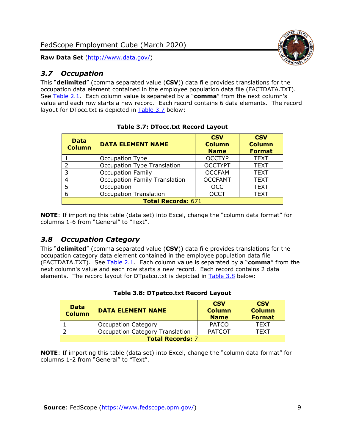## <span id="page-9-0"></span>*3.7 Occupation*

This "**delimited**" (comma separated value (**CSV**)) data file provides translations for the occupation data element contained in the employee population data file (FACTDATA.TXT). See [Table 2.1.](#page-4-0) Each column value is separated by a "**comma**" from the next column's value and each row starts a new record. Each record contains 6 data elements. The record layout for DTocc.txt is depicted in [Table 3.7](#page-9-2) below:

<span id="page-9-2"></span>

| <b>Data</b><br><b>Column</b> | <b>DATA ELEMENT NAME</b>             | <b>CSV</b><br><b>Column</b><br><b>Name</b> | <b>CSV</b><br><b>Column</b><br><b>Format</b> |
|------------------------------|--------------------------------------|--------------------------------------------|----------------------------------------------|
|                              | Occupation Type                      | <b>OCCTYP</b>                              | <b>TEXT</b>                                  |
| $\overline{2}$               | <b>Occupation Type Translation</b>   | <b>OCCTYPT</b>                             | <b>TEXT</b>                                  |
| 3                            | <b>Occupation Family</b>             | <b>OCCFAM</b>                              | <b>TEXT</b>                                  |
| 4                            | <b>Occupation Family Translation</b> | <b>OCCFAMT</b>                             | <b>TEXT</b>                                  |
| 5                            | Occupation                           | <b>OCC</b>                                 | <b>TEXT</b>                                  |
| 6                            | <b>Occupation Translation</b>        | <b>OCCT</b>                                | <b>TEXT</b>                                  |
|                              | <b>Total Records: 671</b>            |                                            |                                              |

| <b>Table 3.7: DTocc.txt Record Layout</b> |  |
|-------------------------------------------|--|
|-------------------------------------------|--|

**NOTE**: If importing this table (data set) into Excel, change the "column data format" for columns 1-6 from "General" to "Text".

## <span id="page-9-1"></span>*3.8 Occupation Category*

This "**delimited**" (comma separated value (**CSV**)) data file provides translations for the occupation category data element contained in the employee population data file (FACTDATA.TXT). See [Table 2.1.](#page-4-0) Each column value is separated by a "**comma**" from the next column's value and each row starts a new record. Each record contains 2 data elements. The record layout for DTpatco.txt is depicted in [Table 3.8](#page-9-3) below:

<span id="page-9-3"></span>

| <b>Data</b><br><b>Column</b> | <b>DATA ELEMENT NAME</b>               | <b>CSV</b><br><b>Column</b><br><b>Name</b> | <b>CSV</b><br><b>Column</b><br><b>Format</b> |
|------------------------------|----------------------------------------|--------------------------------------------|----------------------------------------------|
|                              | <b>Occupation Category</b>             | <b>PATCO</b>                               | <b>TEXT</b>                                  |
|                              | <b>Occupation Category Translation</b> | <b>PATCOT</b>                              | <b>TFXT</b>                                  |
| <b>Total Records: 7</b>      |                                        |                                            |                                              |

#### **Table 3.8: DTpatco.txt Record Layout**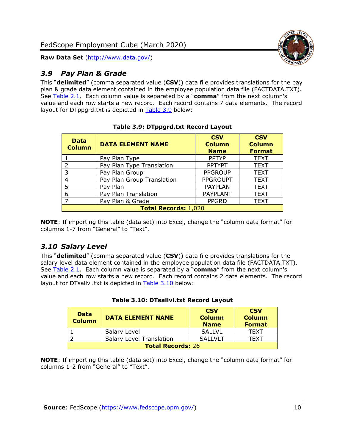

## <span id="page-10-0"></span>*3.9 Pay Plan & Grade*

This "**delimited**" (comma separated value (**CSV**)) data file provides translations for the pay plan & grade data element contained in the employee population data file (FACTDATA.TXT). See [Table 2.1.](#page-4-0) Each column value is separated by a "**comma**" from the next column's value and each row starts a new record. Each record contains 7 data elements. The record layout for DTppgrd.txt is depicted in [Table 3.9](#page-10-2) below:

<span id="page-10-2"></span>

| <b>Data</b><br><b>Column</b> | <b>DATA ELEMENT NAME</b>   | <b>CSV</b><br><b>Column</b><br><b>Name</b> | <b>CSV</b><br><b>Column</b><br><b>Format</b> |  |
|------------------------------|----------------------------|--------------------------------------------|----------------------------------------------|--|
|                              | Pay Plan Type              | <b>PPTYP</b>                               | <b>TEXT</b>                                  |  |
| 2                            | Pay Plan Type Translation  | <b>PPTYPT</b>                              | <b>TEXT</b>                                  |  |
| 3                            | Pay Plan Group             | <b>PPGROUP</b>                             | <b>TEXT</b>                                  |  |
| 4                            | Pay Plan Group Translation | <b>PPGROUPT</b>                            | <b>TEXT</b>                                  |  |
| 5                            | Pay Plan                   | <b>PAYPLAN</b>                             | <b>TEXT</b>                                  |  |
| 6                            | Pay Plan Translation       | <b>PAYPLANT</b>                            | <b>TEXT</b>                                  |  |
| $\overline{ }$               | Pay Plan & Grade           | <b>PPGRD</b>                               | <b>TEXT</b>                                  |  |
| <b>Total Records: 1,020</b>  |                            |                                            |                                              |  |

**Table 3.9: DTppgrd.txt Record Layout**

**NOTE**: If importing this table (data set) into Excel, change the "column data format" for columns 1-7 from "General" to "Text".

## <span id="page-10-1"></span>*3.10 Salary Level*

This "**delimited**" (comma separated value (**CSV**)) data file provides translations for the salary level data element contained in the employee population data file (FACTDATA.TXT). See [Table 2.1.](#page-4-0) Each column value is separated by a "**comma**" from the next column's value and each row starts a new record. Each record contains 2 data elements. The record layout for DTsallvl.txt is depicted in [Table 3.10](#page-10-3) below:

<span id="page-10-3"></span>

| <b>Data</b><br><b>Column</b> | <b>CSV</b><br><b>CSV</b><br><b>DATA ELEMENT NAME</b><br><b>Column</b><br><b>Column</b><br><b>Name</b><br><b>Format</b> |                |      |  |  |  |
|------------------------------|------------------------------------------------------------------------------------------------------------------------|----------------|------|--|--|--|
|                              | <b>SALLVL</b><br>Salary Level<br>TFXT                                                                                  |                |      |  |  |  |
|                              | <b>Salary Level Translation</b>                                                                                        | <b>SALLVLT</b> | TFXT |  |  |  |
| <b>Total Records: 26</b>     |                                                                                                                        |                |      |  |  |  |

|  |  | Table 3.10: DTsallvl.txt Record Layout |  |  |
|--|--|----------------------------------------|--|--|
|--|--|----------------------------------------|--|--|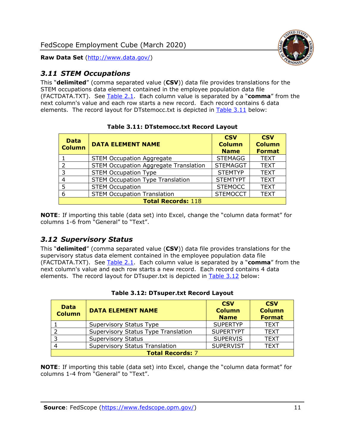

## <span id="page-11-0"></span>*3.11 STEM Occupations*

This "**delimited**" (comma separated value (**CSV**)) data file provides translations for the STEM occupations data element contained in the employee population data file (FACTDATA.TXT). See [Table 2.1.](#page-4-0) Each column value is separated by a "**comma**" from the next column's value and each row starts a new record. Each record contains 6 data elements. The record layout for DTstemocc.txt is depicted in [Table 3.11](#page-11-2) below:

<span id="page-11-2"></span>

| <b>Data</b><br><b>Column</b> | <b>DATA ELEMENT NAME</b>                     | <b>CSV</b><br><b>Column</b><br><b>Name</b> | <b>CSV</b><br><b>Column</b><br><b>Format</b> |  |  |
|------------------------------|----------------------------------------------|--------------------------------------------|----------------------------------------------|--|--|
|                              | <b>STEM Occupation Aggregate</b>             | <b>STEMAGG</b>                             | <b>TEXT</b>                                  |  |  |
| $\mathcal{P}$                | <b>STEM Occupation Aggregate Translation</b> | <b>STEMAGGT</b>                            | <b>TEXT</b>                                  |  |  |
| 3                            | <b>STEM Occupation Type</b>                  | <b>STEMTYP</b>                             | <b>TEXT</b>                                  |  |  |
| 4                            | <b>STEM Occupation Type Translation</b>      | <b>STEMTYPT</b>                            | <b>TEXT</b>                                  |  |  |
| 5                            | <b>STEM Occupation</b>                       | <b>STEMOCC</b>                             | <b>TEXT</b>                                  |  |  |
| 6                            | <b>STEM Occupation Translation</b>           | <b>STEMOCCT</b>                            | <b>TEXT</b>                                  |  |  |
|                              | <b>Total Records: 118</b>                    |                                            |                                              |  |  |

**Table 3.11: DTstemocc.txt Record Layout**

**NOTE**: If importing this table (data set) into Excel, change the "column data format" for columns 1-6 from "General" to "Text".

## <span id="page-11-1"></span>*3.12 Supervisory Status*

This "**delimited**" (comma separated value (**CSV**)) data file provides translations for the supervisory status data element contained in the employee population data file (FACTDATA.TXT). See [Table 2.1.](#page-4-0) Each column value is separated by a "**comma**" from the next column's value and each row starts a new record. Each record contains 4 data elements. The record layout for DTsuper.txt is depicted in [Table 3.12](#page-11-3) below:

<span id="page-11-3"></span>

| <b>Data</b><br><b>Column</b> | <b>DATA ELEMENT NAME</b>              | <b>CSV</b><br><b>Column</b><br><b>Name</b> | <b>CSV</b><br><b>Column</b><br><b>Format</b> |  |
|------------------------------|---------------------------------------|--------------------------------------------|----------------------------------------------|--|
|                              | Supervisory Status Type               | <b>SUPERTYP</b>                            | <b>TEXT</b>                                  |  |
|                              | Supervisory Status Type Translation   | <b>SUPERTYPT</b>                           | <b>TEXT</b>                                  |  |
|                              | <b>Supervisory Status</b>             | <b>SUPERVIS</b>                            | <b>TEXT</b>                                  |  |
|                              | <b>Supervisory Status Translation</b> | <b>SUPERVIST</b>                           | <b>TEXT</b>                                  |  |
| <b>Total Records: 7</b>      |                                       |                                            |                                              |  |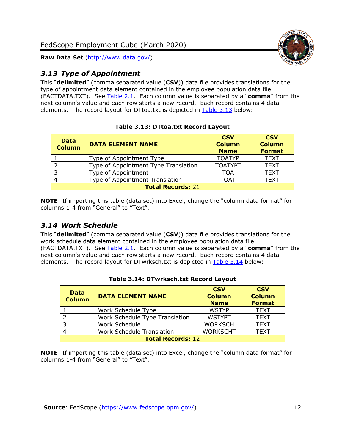

## <span id="page-12-0"></span>*3.13 Type of Appointment*

This "**delimited**" (comma separated value (**CSV**)) data file provides translations for the type of appointment data element contained in the employee population data file (FACTDATA.TXT). See [Table 2.1.](#page-4-0) Each column value is separated by a "**comma**" from the next column's value and each row starts a new record. Each record contains 4 data elements. The record layout for DTtoa.txt is depicted in [Table 3.13](#page-12-2) below:

<span id="page-12-2"></span>

| <b>Data</b><br><b>Column</b> | <b>DATA ELEMENT NAME</b>             | <b>CSV</b><br><b>Column</b><br><b>Name</b> | <b>CSV</b><br><b>Column</b><br><b>Format</b> |  |
|------------------------------|--------------------------------------|--------------------------------------------|----------------------------------------------|--|
|                              | Type of Appointment Type             | <b>TOATYP</b>                              | <b>TEXT</b>                                  |  |
|                              | Type of Appointment Type Translation | <b>TOATYPT</b>                             | <b>TEXT</b>                                  |  |
| 3                            | Type of Appointment                  | <b>TOA</b>                                 | <b>TEXT</b>                                  |  |
| 4                            | Type of Appointment Translation      | <b>TOAT</b>                                | <b>TEXT</b>                                  |  |
| <b>Total Records: 21</b>     |                                      |                                            |                                              |  |

|  |  |  | Table 3.13: DTtoa.txt Record Layout |  |  |
|--|--|--|-------------------------------------|--|--|
|--|--|--|-------------------------------------|--|--|

**NOTE**: If importing this table (data set) into Excel, change the "column data format" for columns 1-4 from "General" to "Text".

## <span id="page-12-1"></span>*3.14 Work Schedule*

This "**delimited**" (comma separated value (**CSV**)) data file provides translations for the work schedule data element contained in the employee population data file (FACTDATA.TXT). See [Table 2.1.](#page-4-0) Each column value is separated by a "**comma**" from the next column's value and each row starts a new record. Each record contains 4 data elements. The record layout for DTwrksch.txt is depicted in [Table 3.14](#page-12-3) below:

<span id="page-12-3"></span>

| <b>Data</b><br><b>Column</b> | <b>DATA ELEMENT NAME</b>         | <b>CSV</b><br><b>Column</b><br><b>Name</b> | <b>CSV</b><br><b>Column</b><br><b>Format</b> |  |
|------------------------------|----------------------------------|--------------------------------------------|----------------------------------------------|--|
|                              | Work Schedule Type               | <b>WSTYP</b>                               | <b>TEXT</b>                                  |  |
|                              | Work Schedule Type Translation   | <b>WSTYPT</b>                              | <b>TEXT</b>                                  |  |
| -3                           | Work Schedule                    | <b>WORKSCH</b>                             | <b>TEXT</b>                                  |  |
|                              | <b>Work Schedule Translation</b> | <b>WORKSCHT</b>                            | <b>TEXT</b>                                  |  |
| <b>Total Records: 12</b>     |                                  |                                            |                                              |  |

#### **Table 3.14: DTwrksch.txt Record Layout**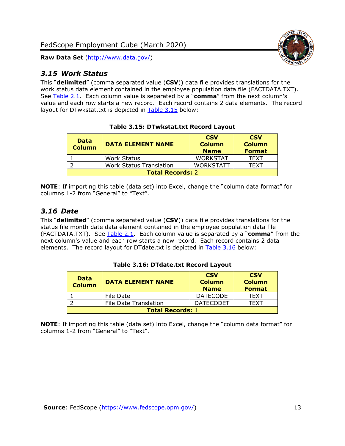<span id="page-13-0"></span>

This "**delimited**" (comma separated value (**CSV**)) data file provides translations for the work status data element contained in the employee population data file (FACTDATA.TXT). See [Table 2.1.](#page-4-0) Each column value is separated by a "**comma**" from the next column's value and each row starts a new record. Each record contains 2 data elements. The record layout for DTwkstat.txt is depicted in [Table 3.15](#page-13-2) below:

<span id="page-13-2"></span>

| <b>CSV</b><br><b>CSV</b><br><b>Data</b><br><b>Column</b><br><b>Column</b><br><b>DATA ELEMENT NAME</b><br><b>Column</b><br><b>Name</b><br><b>Format</b> |                                                      |  |  |  |  |  |
|--------------------------------------------------------------------------------------------------------------------------------------------------------|------------------------------------------------------|--|--|--|--|--|
|                                                                                                                                                        | <b>WORKSTAT</b><br><b>Work Status</b><br><b>TFXT</b> |  |  |  |  |  |
| <b>WORKSTATT</b><br><b>Work Status Translation</b><br>TFXT                                                                                             |                                                      |  |  |  |  |  |
| <b>Total Records: 2</b>                                                                                                                                |                                                      |  |  |  |  |  |

**Table 3.15: DTwkstat.txt Record Layout**

**NOTE**: If importing this table (data set) into Excel, change the "column data format" for columns 1-2 from "General" to "Text".

## <span id="page-13-1"></span>*3.16 Date*

This "**delimited**" (comma separated value (**CSV**)) data file provides translations for the status file month date data element contained in the employee population data file (FACTDATA.TXT). See [Table 2.1.](#page-4-0) Each column value is separated by a "**comma**" from the next column's value and each row starts a new record. Each record contains 2 data elements. The record layout for DTdate.txt is depicted in [Table 3.16](#page-13-3) below:

<span id="page-13-3"></span>

| <b>CSV</b><br><b>CSV</b><br><b>Data</b><br><b>Column</b><br><b>Column</b><br><b>DATA ELEMENT NAME</b><br><b>Column</b><br><b>Name</b><br><b>Format</b> |                                             |                  |      |  |  |
|--------------------------------------------------------------------------------------------------------------------------------------------------------|---------------------------------------------|------------------|------|--|--|
|                                                                                                                                                        | <b>DATECODE</b><br><b>TFXT</b><br>File Date |                  |      |  |  |
|                                                                                                                                                        | <b>File Date Translation</b>                | <b>DATECODET</b> | TFXT |  |  |
| <b>Total Records: 1</b>                                                                                                                                |                                             |                  |      |  |  |

**Table 3.16: DTdate.txt Record Layout**

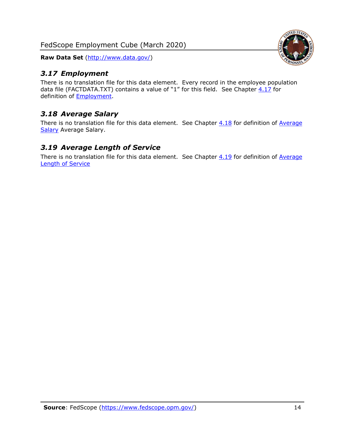## <span id="page-14-0"></span>*3.17 Employment*

There is no translation file for this data element. Every record in the employee population data file (FACTDATA.TXT) contains a value of "1" for this field. See Chapter  $4.17$  for definition of [Employment.](#page-17-0)

## <span id="page-14-1"></span>*3.18 Average Salary*

There is no translation file for this data element. See Chapter  $4.18$  for definition of Average [Salary](#page-17-1) [Average Salary.](#page-17-1)

## <span id="page-14-2"></span>*3.19 Average Length of Service*

There is no translation file for this data element. See Chapter  $4.19$  for definition of Average [Length of Service](#page-17-2)

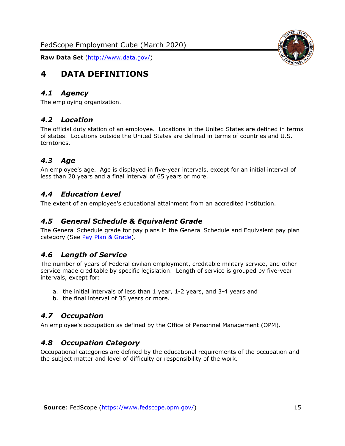<span id="page-15-0"></span>

## <span id="page-15-1"></span>*4.1 Agency*

<span id="page-15-2"></span>The employing organization.

## *4.2 Location*

The official duty station of an employee. Locations in the United States are defined in terms of states. Locations outside the United States are defined in terms of countries and U.S. territories.

## <span id="page-15-3"></span>*4.3 Age*

An employee's age. Age is displayed in five-year intervals, except for an initial interval of less than 20 years and a final interval of 65 years or more.

## <span id="page-15-4"></span>*4.4 Education Level*

<span id="page-15-5"></span>The extent of an employee's educational attainment from an accredited institution.

#### *4.5 General Schedule & Equivalent Grade*

The General Schedule grade for pay plans in the General Schedule and Equivalent pay plan category (See [Pay Plan & Grade\)](#page-16-0).

## <span id="page-15-6"></span>*4.6 Length of Service*

The number of years of Federal civilian employment, creditable military service, and other service made creditable by specific legislation. Length of service is grouped by five-year intervals, except for:

- a. the initial intervals of less than 1 year, 1-2 years, and 3-4 years and
- b. the final interval of 35 years or more.

## <span id="page-15-7"></span>*4.7 Occupation*

<span id="page-15-8"></span>An employee's occupation as defined by the Office of Personnel Management (OPM).

## *4.8 Occupation Category*

Occupational categories are defined by the educational requirements of the occupation and the subject matter and level of difficulty or responsibility of the work.

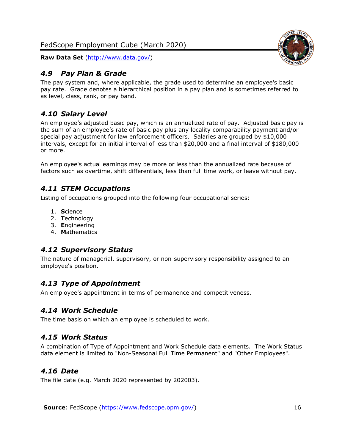

## <span id="page-16-0"></span>*4.9 Pay Plan & Grade*

The pay system and, where applicable, the grade used to determine an employee's basic pay rate. Grade denotes a hierarchical position in a pay plan and is sometimes referred to as level, class, rank, or pay band.

## <span id="page-16-1"></span>*4.10 Salary Level*

An employee's adjusted basic pay, which is an annualized rate of pay. Adjusted basic pay is the sum of an employee's rate of basic pay plus any locality comparability payment and/or special pay adjustment for law enforcement officers. Salaries are grouped by \$10,000 intervals, except for an initial interval of less than \$20,000 and a final interval of \$180,000 or more.

An employee's actual earnings may be more or less than the annualized rate because of factors such as overtime, shift differentials, less than full time work, or leave without pay.

## <span id="page-16-2"></span>*4.11 STEM Occupations*

Listing of occupations grouped into the following four occupational series:

- 1. **S**cience
- 2. **T**echnology
- 3. **E**ngineering
- 4. **M**athematics

## <span id="page-16-3"></span>*4.12 Supervisory Status*

The nature of managerial, supervisory, or non-supervisory responsibility assigned to an employee's position.

## <span id="page-16-4"></span>*4.13 Type of Appointment*

<span id="page-16-5"></span>An employee's appointment in terms of permanence and competitiveness.

## *4.14 Work Schedule*

<span id="page-16-6"></span>The time basis on which an employee is scheduled to work.

## *4.15 Work Status*

A combination of Type of Appointment and Work Schedule data elements. The Work Status data element is limited to "Non-Seasonal Full Time Permanent" and "Other Employees".

## <span id="page-16-7"></span>*4.16 Date*

<span id="page-16-8"></span>The file date (e.g. March 2020 represented by 202003).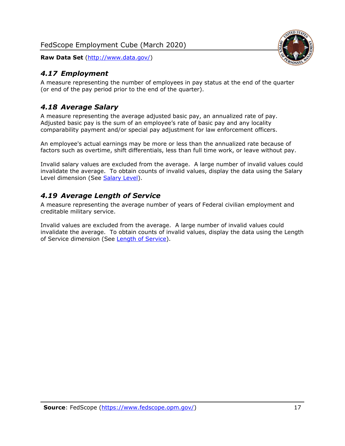

## <span id="page-17-0"></span>*4.17 Employment*

A measure representing the number of employees in pay status at the end of the quarter (or end of the pay period prior to the end of the quarter).

## <span id="page-17-1"></span>*4.18 Average Salary*

A measure representing the average adjusted basic pay, an annualized rate of pay. Adjusted basic pay is the sum of an employee's rate of basic pay and any locality comparability payment and/or special pay adjustment for law enforcement officers.

An employee's actual earnings may be more or less than the annualized rate because of factors such as overtime, shift differentials, less than full time work, or leave without pay.

Invalid salary values are excluded from the average. A large number of invalid values could invalidate the average. To obtain counts of invalid values, display the data using the Salary Level dimension (See [Salary Level\)](#page-16-1).

## <span id="page-17-2"></span>*4.19 Average Length of Service*

A measure representing the average number of years of Federal civilian employment and creditable military service.

Invalid values are excluded from the average. A large number of invalid values could invalidate the average. To obtain counts of invalid values, display the data using the Length of Service dimension (See [Length of Service\)](#page-15-6).